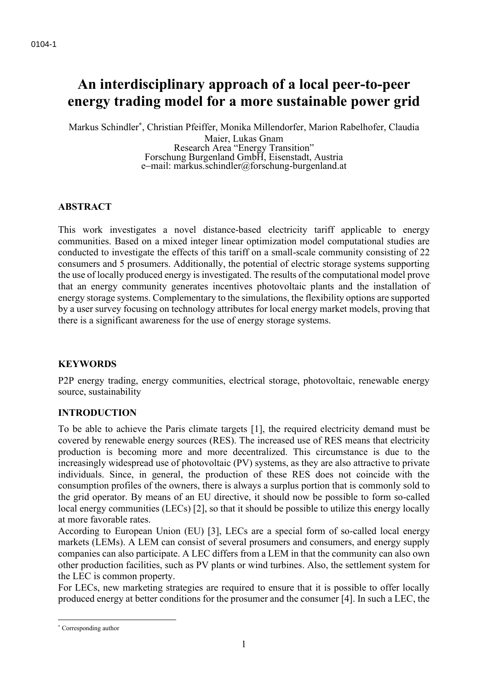# **An interdisciplinary approach of a local peer-to-peer energy trading model for a more sustainable power grid**

Markus Schindler**\*** , Christian Pfeiffer, Monika Millendorfer, Marion Rabelhofer, Claudia

Maier, Lukas Gnam Research Area "Energy Transition" Forschung Burgenland GmbH, Eisenstadt, Austria e−mail: markus.schindler@forschung-burgenland.at

# **ABSTRACT**

This work investigates a novel distance-based electricity tariff applicable to energy communities. Based on a mixed integer linear optimization model computational studies are conducted to investigate the effects of this tariff on a small-scale community consisting of 22 consumers and 5 prosumers. Additionally, the potential of electric storage systems supporting the use of locally produced energy is investigated. The results of the computational model prove that an energy community generates incentives photovoltaic plants and the installation of energy storage systems. Complementary to the simulations, the flexibility options are supported by a user survey focusing on technology attributes for local energy market models, proving that there is a significant awareness for the use of energy storage systems.

## **KEYWORDS**

P2P energy trading, energy communities, electrical storage, photovoltaic, renewable energy source, sustainability

## **INTRODUCTION**

To be able to achieve the Paris climate targets [1], the required electricity demand must be covered by renewable energy sources (RES). The increased use of RES means that electricity production is becoming more and more decentralized. This circumstance is due to the increasingly widespread use of photovoltaic (PV) systems, as they are also attractive to private individuals. Since, in general, the production of these RES does not coincide with the consumption profiles of the owners, there is always a surplus portion that is commonly sold to the grid operator. By means of an EU directive, it should now be possible to form so-called local energy communities (LECs) [2], so that it should be possible to utilize this energy locally at more favorable rates.

According to European Union (EU) [3], LECs are a special form of so-called local energy markets (LEMs). A LEM can consist of several prosumers and consumers, and energy supply companies can also participate. A LEC differs from a LEM in that the community can also own other production facilities, such as PV plants or wind turbines. Also, the settlement system for the LEC is common property.

For LECs, new marketing strategies are required to ensure that it is possible to offer locally produced energy at better conditions for the prosumer and the consumer [4]. In such a LEC, the

<sup>\*</sup> Corresponding author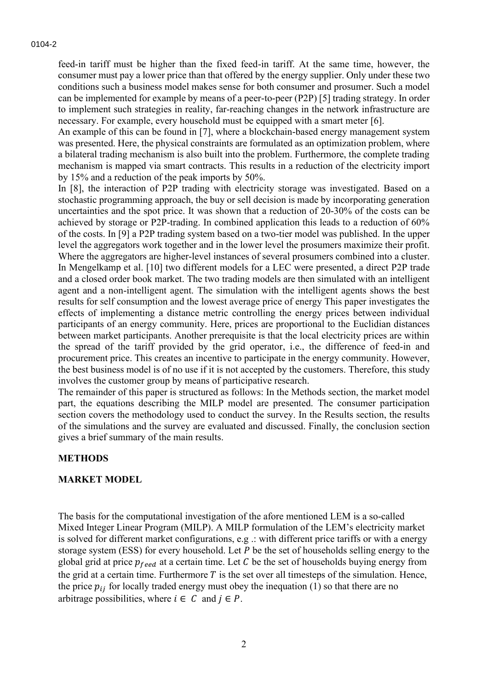feed-in tariff must be higher than the fixed feed-in tariff. At the same time, however, the consumer must pay a lower price than that offered by the energy supplier. Only under these two conditions such a business model makes sense for both consumer and prosumer. Such a model can be implemented for example by means of a peer-to-peer (P2P) [5] trading strategy. In order to implement such strategies in reality, far-reaching changes in the network infrastructure are necessary. For example, every household must be equipped with a smart meter [6].

An example of this can be found in [7], where a blockchain-based energy management system was presented. Here, the physical constraints are formulated as an optimization problem, where a bilateral trading mechanism is also built into the problem. Furthermore, the complete trading mechanism is mapped via smart contracts. This results in a reduction of the electricity import by 15% and a reduction of the peak imports by 50%.

In [8], the interaction of P2P trading with electricity storage was investigated. Based on a stochastic programming approach, the buy or sell decision is made by incorporating generation uncertainties and the spot price. It was shown that a reduction of 20-30% of the costs can be achieved by storage or P2P-trading. In combined application this leads to a reduction of 60% of the costs. In [9] a P2P trading system based on a two-tier model was published. In the upper level the aggregators work together and in the lower level the prosumers maximize their profit. Where the aggregators are higher-level instances of several prosumers combined into a cluster. In Mengelkamp et al. [10] two different models for a LEC were presented, a direct P2P trade and a closed order book market. The two trading models are then simulated with an intelligent agent and a non-intelligent agent. The simulation with the intelligent agents shows the best results for self consumption and the lowest average price of energy This paper investigates the effects of implementing a distance metric controlling the energy prices between individual participants of an energy community. Here, prices are proportional to the Euclidian distances between market participants. Another prerequisite is that the local electricity prices are within the spread of the tariff provided by the grid operator, i.e., the difference of feed-in and procurement price. This creates an incentive to participate in the energy community. However, the best business model is of no use if it is not accepted by the customers. Therefore, this study involves the customer group by means of participative research.

The remainder of this paper is structured as follows: In the Methods section, the market model part, the equations describing the MILP model are presented. The consumer participation section covers the methodology used to conduct the survey. In the Results section, the results of the simulations and the survey are evaluated and discussed. Finally, the conclusion section gives a brief summary of the main results.

## **METHODS**

#### **MARKET MODEL**

The basis for the computational investigation of the afore mentioned LEM is a so-called Mixed Integer Linear Program (MILP). A MILP formulation of the LEM's electricity market is solved for different market configurations, e.g .: with different price tariffs or with a energy storage system (ESS) for every household. Let  $P$  be the set of households selling energy to the global grid at price  $p_{feed}$  at a certain time. Let C be the set of households buying energy from the grid at a certain time. Furthermore  $T$  is the set over all timesteps of the simulation. Hence, the price  $p_{ij}$  for locally traded energy must obey the inequation (1) so that there are no arbitrage possibilities, where  $i \in C$  and  $j \in P$ .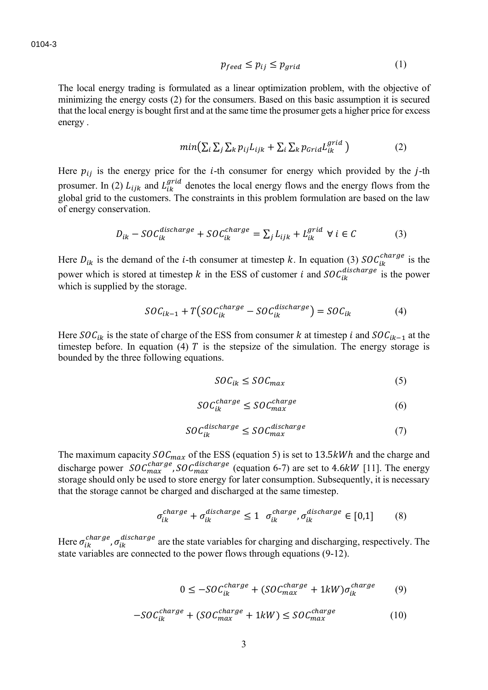$$
p_{feed} \le p_{ij} \le p_{grid} \tag{1}
$$

The local energy trading is formulated as a linear optimization problem, with the objective of minimizing the energy costs (2) for the consumers. Based on this basic assumption it is secured that the local energy is bought first and at the same time the prosumer gets a higher price for excess energy .

$$
min(\sum_{i} \sum_{j} \sum_{k} p_{ij} L_{ijk} + \sum_{i} \sum_{k} p_{Grid} L_{ik}^{grid})
$$
 (2)

Here  $p_{ij}$  is the energy price for the *i*-th consumer for energy which provided by the *j*-th prosumer. In (2)  $L_{ijk}$  and  $L_{ik}^{grid}$  denotes the local energy flows and the energy flows from the global grid to the customers. The constraints in this problem formulation are based on the law of energy conservation.

$$
D_{ik} - SOC_{ik}^{discharge} + SOC_{ik}^{charge} = \sum_j L_{ijk} + L_{ik}^{grid} \ \forall \ i \in C
$$
 (3)

Here  $D_{ik}$  is the demand of the *i*-th consumer at timestep k. In equation (3)  $SOC_{ik}^{charge}$  is the power which is stored at timestep k in the ESS of customer *i* and  $SOC_{ik}^{discharge}$  is the power which is supplied by the storage.

$$
SOC_{ik-1} + T(SOC_{ik}^{charge} - SOC_{ik}^{discharge}) = SOC_{ik}
$$
 (4)

Here  $SOC_{ik}$  is the state of charge of the ESS from consumer k at timestep *i* and  $SOC_{ik-1}$  at the timestep before. In equation (4)  $T$  is the stepsize of the simulation. The energy storage is bounded by the three following equations.

$$
SOC_{ik} \leq SOC_{max} \tag{5}
$$

$$
SOC_{ik}^{charge} \leq SOC_{max}^{charge} \tag{6}
$$

$$
SOC_{ik}^{discharge} \leq SOC_{max}^{discharge} \tag{7}
$$

The maximum capacity  $SOC_{max}$  of the ESS (equation 5) is set to 13.5kWh and the charge and discharge power  $\mathcal{SOC}_{max}^{charge}$ ,  $\mathcal{SOC}_{max}^{discharge}$  (equation 6-7) are set to 4.6 kW [11]. The energy storage should only be used to store energy for later consumption. Subsequently, it is necessary that the storage cannot be charged and discharged at the same timestep.

$$
\sigma_{ik}^{charge} + \sigma_{ik}^{discharge} \le 1 \quad \sigma_{ik}^{charge}, \sigma_{ik}^{discharge} \in [0,1] \tag{8}
$$

Here  $\sigma_{ik}^{charge}$ ,  $\sigma_{ik}^{discharge}$  are the state variables for charging and discharging, respectively. The state variables are connected to the power flows through equations (9-12).

$$
0 \le -SOC_{ik}^{charge} + (SOC_{max}^{charge} + 1kW)\sigma_{ik}^{charge}
$$
 (9)

$$
-SOC_{ik}^{charge} + (SOC_{max}^{charge} + 1kW) \le SOC_{max}^{charge}
$$
 (10)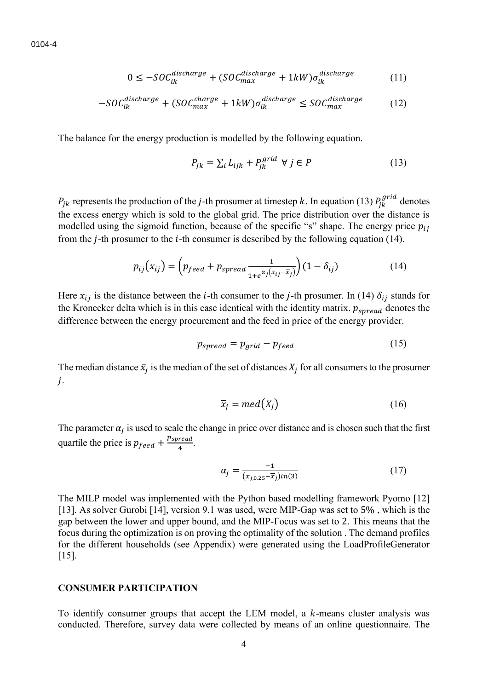$$
0 \le -50 C_{ik}^{discharge} + (50 C_{max}^{discharge} + 1 kW) \sigma_{ik}^{discharge}
$$
 (11)

$$
-SOC_{ik}^{discharge} + (SOC_{max}^{charge} + 1kW)\sigma_{ik}^{discharge} \le SOC_{max}^{discharge}
$$
 (12)

The balance for the energy production is modelled by the following equation.

$$
P_{jk} = \sum_{i} L_{ijk} + P_{jk}^{grid} \ \forall \ j \in P \tag{13}
$$

 $P_{jk}$  represents the production of the *j*-th prosumer at timestep k. In equation (13)  $P_{jk}^{grid}$  denotes the excess energy which is sold to the global grid. The price distribution over the distance is modelled using the sigmoid function, because of the specific "s" shape. The energy price  $p_{ij}$ from the  $j$ -th prosumer to the  $i$ -th consumer is described by the following equation (14).

$$
p_{ij}(x_{ij}) = \left(p_{feed} + p_{spread} \frac{1}{1 + e^{\alpha_j(x_{ij} - \overline{x}_j)}}\right) (1 - \delta_{ij})
$$
\n(14)

Here  $x_{ij}$  is the distance between the *i*-th consumer to the *j*-th prosumer. In (14)  $\delta_{ij}$  stands for the Kronecker delta which is in this case identical with the identity matrix.  $p_{spread}$  denotes the difference between the energy procurement and the feed in price of the energy provider.

$$
p_{spread} = p_{grid} - p_{feed}
$$
 (15)

The median distance  $\bar{x}_j$  is the median of the set of distances  $X_j$  for all consumers to the prosumer  $j$ .

$$
\overline{x}_j = med(X_j) \tag{16}
$$

The parameter  $\alpha_j$  is used to scale the change in price over distance and is chosen such that the first quartile the price is  $p_{feed} + \frac{p_{spread}}{4}$  $\frac{read}{4}$ .

$$
\alpha_j = \frac{-1}{(x_{j,0.25} - \overline{x}_j)ln(3)}\tag{17}
$$

The MILP model was implemented with the Python based modelling framework Pyomo [12] [13]. As solver Gurobi [14], version 9.1 was used, were MIP-Gap was set to 5%, which is the gap between the lower and upper bound, and the MIP-Focus was set to 2. This means that the focus during the optimization is on proving the optimality of the solution . The demand profiles for the different households (see Appendix) were generated using the LoadProfileGenerator [15].

#### **CONSUMER PARTICIPATION**

To identify consumer groups that accept the LEM model, a  $k$ -means cluster analysis was conducted. Therefore, survey data were collected by means of an online questionnaire. The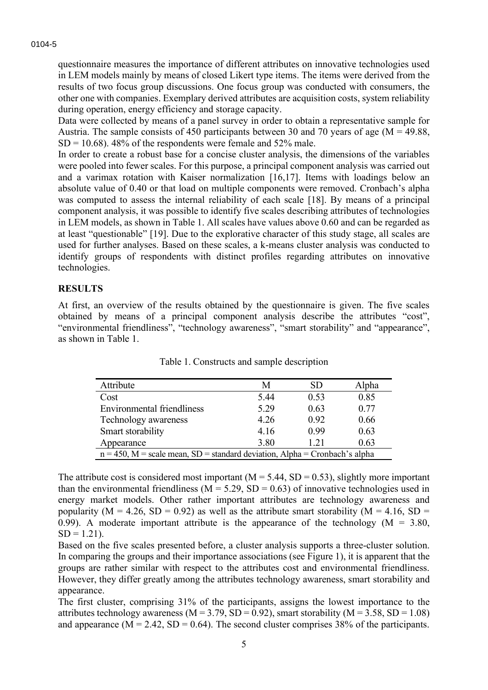questionnaire measures the importance of different attributes on innovative technologies used in LEM models mainly by means of closed Likert type items. The items were derived from the results of two focus group discussions. One focus group was conducted with consumers, the other one with companies. Exemplary derived attributes are acquisition costs, system reliability during operation, energy efficiency and storage capacity.

Data were collected by means of a panel survey in order to obtain a representative sample for Austria. The sample consists of 450 participants between 30 and 70 years of age ( $M = 49.88$ ,  $SD = 10.68$ ). 48% of the respondents were female and 52% male.

In order to create a robust base for a concise cluster analysis, the dimensions of the variables were pooled into fewer scales. For this purpose, a principal component analysis was carried out and a varimax rotation with Kaiser normalization [16,17]. Items with loadings below an absolute value of 0.40 or that load on multiple components were removed. Cronbach's alpha was computed to assess the internal reliability of each scale [18]. By means of a principal component analysis, it was possible to identify five scales describing attributes of technologies in LEM models, as shown in Table 1. All scales have values above 0.60 and can be regarded as at least "questionable" [19]. Due to the explorative character of this study stage, all scales are used for further analyses. Based on these scales, a k-means cluster analysis was conducted to identify groups of respondents with distinct profiles regarding attributes on innovative technologies.

## **RESULTS**

At first, an overview of the results obtained by the questionnaire is given. The five scales obtained by means of a principal component analysis describe the attributes "cost", "environmental friendliness", "technology awareness", "smart storability" and "appearance", as shown in Table 1.

| Attribute                                                                     | М    | SD   | Alpha |  |  |
|-------------------------------------------------------------------------------|------|------|-------|--|--|
| Cost                                                                          | 5.44 | 0.53 | 0.85  |  |  |
| <b>Environmental friendliness</b>                                             | 5.29 | 0.63 | 0.77  |  |  |
| Technology awareness                                                          | 4.26 | 0.92 | 0.66  |  |  |
| Smart storability                                                             | 4.16 | 0.99 | 0.63  |  |  |
| Appearance                                                                    | 3.80 | 1.21 | 0.63  |  |  |
| $n = 450$ , M = scale mean, SD = standard deviation, Alpha = Cronbach's alpha |      |      |       |  |  |

Table 1. Constructs and sample description

The attribute cost is considered most important ( $M = 5.44$ , SD = 0.53), slightly more important than the environmental friendliness ( $M = 5.29$ ,  $SD = 0.63$ ) of innovative technologies used in energy market models. Other rather important attributes are technology awareness and popularity ( $M = 4.26$ ,  $SD = 0.92$ ) as well as the attribute smart storability ( $M = 4.16$ ,  $SD =$ 0.99). A moderate important attribute is the appearance of the technology ( $M = 3.80$ ,  $SD = 1.21$ ).

Based on the five scales presented before, a cluster analysis supports a three-cluster solution. In comparing the groups and their importance associations (see Figure 1), it is apparent that the groups are rather similar with respect to the attributes cost and environmental friendliness. However, they differ greatly among the attributes technology awareness, smart storability and appearance.

The first cluster, comprising 31% of the participants, assigns the lowest importance to the attributes technology awareness ( $M = 3.79$ ,  $SD = 0.92$ ), smart storability ( $M = 3.58$ ,  $SD = 1.08$ ) and appearance ( $M = 2.42$ ,  $SD = 0.64$ ). The second cluster comprises 38% of the participants.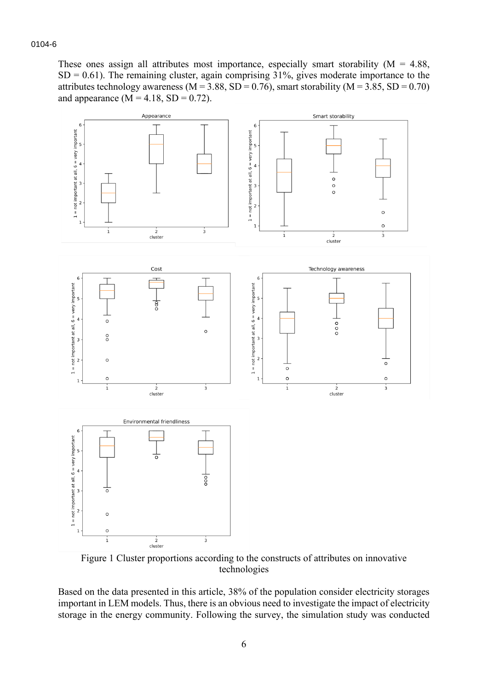These ones assign all attributes most importance, especially smart storability ( $M = 4.88$ ,  $SD = 0.61$ ). The remaining cluster, again comprising 31%, gives moderate importance to the attributes technology awareness ( $M = 3.88$ ,  $SD = 0.76$ ), smart storability ( $M = 3.85$ ,  $SD = 0.70$ ) and appearance  $(M = 4.18, SD = 0.72)$ .



Figure 1 Cluster proportions according to the constructs of attributes on innovative technologies

Based on the data presented in this article, 38% of the population consider electricity storages important in LEM models. Thus, there is an obvious need to investigate the impact of electricity storage in the energy community. Following the survey, the simulation study was conducted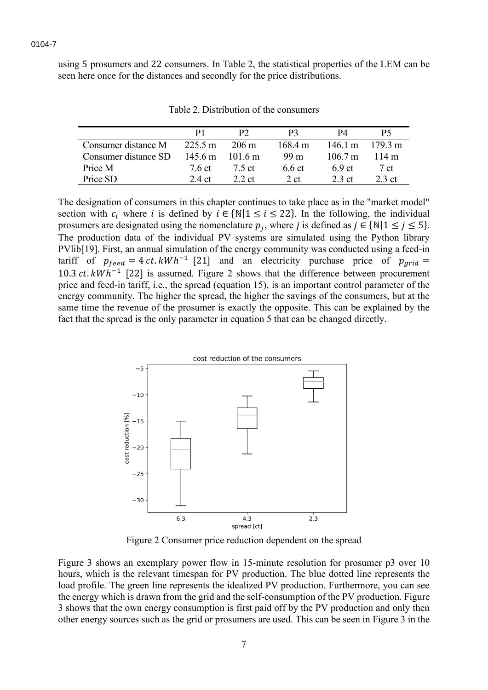using 5 prosumers and 22 consumers. In Table 2, the statistical properties of the LEM can be seen here once for the distances and secondly for the price distributions.

|                      | Ρl                |                 | PЗ              | P4                |                   |
|----------------------|-------------------|-----------------|-----------------|-------------------|-------------------|
| Consumer distance M  | $225.5 \text{ m}$ | $206 \text{ m}$ | 168.4 m         | 146.1 m           | $179.3 \text{ m}$ |
| Consumer distance SD | 145.6 m           | 101.6 m         | 99 <sub>m</sub> | $106.7 \text{ m}$ | 114 m             |
| Price M              | 7.6 ct            | 7.5 ct          | $6.6$ ct        | 6.9 <sub>ct</sub> | 7 ct              |
| Price SD             | 24 ct             | 2.2ct           | 2ct             | 2.3 ct            | $2.3$ ct          |

Table 2. Distribution of the consumers

The designation of consumers in this chapter continues to take place as in the "market model" section with  $c_i$  where *i* is defined by  $i \in \{N | 1 \le i \le 22\}$ . In the following, the individual prosumers are designated using the nomenclature  $p_j$ , where j is defined as  $j \in \{N | 1 \le j \le 5\}$ . The production data of the individual PV systems are simulated using the Python library PVlib[19]. First, an annual simulation of the energy community was conducted using a feed-in tariff of  $p_{feed} = 4 ct.kWh^{-1}$  [21] and an electricity purchase price of  $p_{grid}$ 10.3  $ct.$  kWh<sup>-1</sup> [22] is assumed. Figure 2 shows that the difference between procurement price and feed-in tariff, i.e., the spread (equation 15), is an important control parameter of the energy community. The higher the spread, the higher the savings of the consumers, but at the same time the revenue of the prosumer is exactly the opposite. This can be explained by the fact that the spread is the only parameter in equation 5 that can be changed directly.



Figure 2 Consumer price reduction dependent on the spread

Figure 3 shows an exemplary power flow in 15-minute resolution for prosumer p3 over 10 hours, which is the relevant timespan for PV production. The blue dotted line represents the load profile. The green line represents the idealized PV production. Furthermore, you can see the energy which is drawn from the grid and the self-consumption of the PV production. Figure 3 shows that the own energy consumption is first paid off by the PV production and only then other energy sources such as the grid or prosumers are used. This can be seen in Figure 3 in the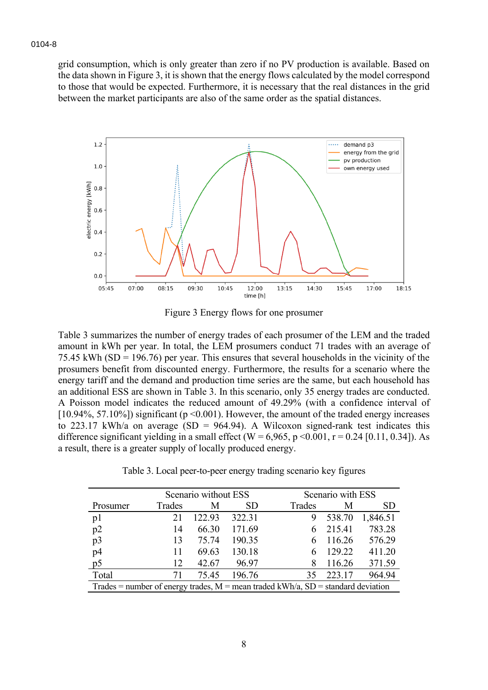grid consumption, which is only greater than zero if no PV production is available. Based on the data shown in Figure 3, it is shown that the energy flows calculated by the model correspond to those that would be expected. Furthermore, it is necessary that the real distances in the grid between the market participants are also of the same order as the spatial distances.



Figure 3 Energy flows for one prosumer

Table 3 summarizes the number of energy trades of each prosumer of the LEM and the traded amount in kWh per year. In total, the LEM prosumers conduct 71 trades with an average of 75.45 kWh (SD = 196.76) per year. This ensures that several households in the vicinity of the prosumers benefit from discounted energy. Furthermore, the results for a scenario where the energy tariff and the demand and production time series are the same, but each household has an additional ESS are shown in Table 3. In this scenario, only 35 energy trades are conducted. A Poisson model indicates the reduced amount of 49.29% (with a confidence interval of [10.94%, 57.10%]) significant (p <0.001). However, the amount of the traded energy increases to 223.17 kWh/a on average (SD = 964.94). A Wilcoxon signed-rank test indicates this difference significant yielding in a small effect (W =  $6,965$ , p < 0.001, r = 0.24 [0.11, 0.34]). As a result, there is a greater supply of locally produced energy.

|                                                                                    |        | Scenario without ESS |           |        | Scenario with ESS |          |  |
|------------------------------------------------------------------------------------|--------|----------------------|-----------|--------|-------------------|----------|--|
| Prosumer                                                                           | Trades | M                    | <b>SD</b> | Trades | M                 | SD       |  |
| p1                                                                                 | 21     | 122.93               | 322.31    | 9      | 538.70            | 1,846.51 |  |
| p2                                                                                 | 14     | 66.30                | 171.69    |        | 215.41            | 783.28   |  |
| p3                                                                                 | 13     | 75.74                | 190.35    |        | 116.26            | 576.29   |  |
| p4                                                                                 | 11     | 69.63                | 130.18    |        | 129.22            | 411.20   |  |
| p5                                                                                 | 12     | 42.67                | 96.97     | 8      | 116.26            | 371.59   |  |
| Total                                                                              | 71     | 75.45                | 196.76    | 35     | 223.17            | 964.94   |  |
| Trades = number of energy trades, $M$ = mean traded kWh/a, SD = standard deviation |        |                      |           |        |                   |          |  |

Table 3. Local peer-to-peer energy trading scenario key figures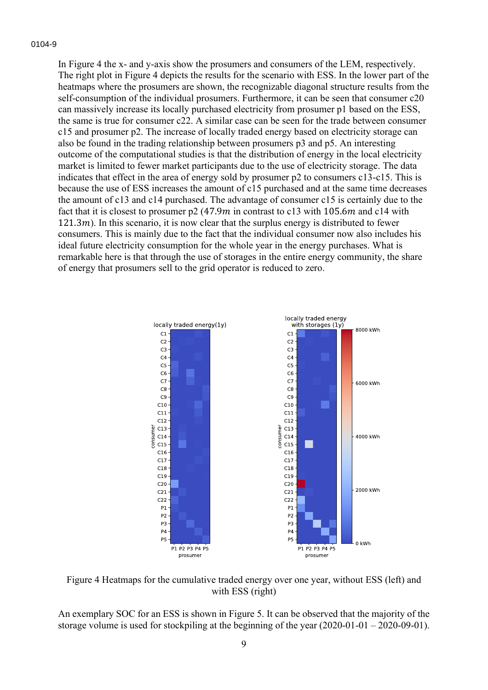In Figure 4 the x- and y-axis show the prosumers and consumers of the LEM, respectively. The right plot in Figure 4 depicts the results for the scenario with ESS. In the lower part of the heatmaps where the prosumers are shown, the recognizable diagonal structure results from the self-consumption of the individual prosumers. Furthermore, it can be seen that consumer c20 can massively increase its locally purchased electricity from prosumer p1 based on the ESS, the same is true for consumer c22. A similar case can be seen for the trade between consumer c15 and prosumer p2. The increase of locally traded energy based on electricity storage can also be found in the trading relationship between prosumers p3 and p5. An interesting outcome of the computational studies is that the distribution of energy in the local electricity market is limited to fewer market participants due to the use of electricity storage. The data indicates that effect in the area of energy sold by prosumer p2 to consumers c13-c15. This is because the use of ESS increases the amount of c15 purchased and at the same time decreases the amount of c13 and c14 purchased. The advantage of consumer c15 is certainly due to the fact that it is closest to prosumer  $p2(47.9m)$  in contrast to c13 with 105.6m and c14 with  $121.3m$ ). In this scenario, it is now clear that the surplus energy is distributed to fewer consumers. This is mainly due to the fact that the individual consumer now also includes his ideal future electricity consumption for the whole year in the energy purchases. What is remarkable here is that through the use of storages in the entire energy community, the share of energy that prosumers sell to the grid operator is reduced to zero.



Figure 4 Heatmaps for the cumulative traded energy over one year, without ESS (left) and with ESS (right)

An exemplary SOC for an ESS is shown in Figure 5. It can be observed that the majority of the storage volume is used for stockpiling at the beginning of the year  $(2020-01-01-2020-09-01)$ .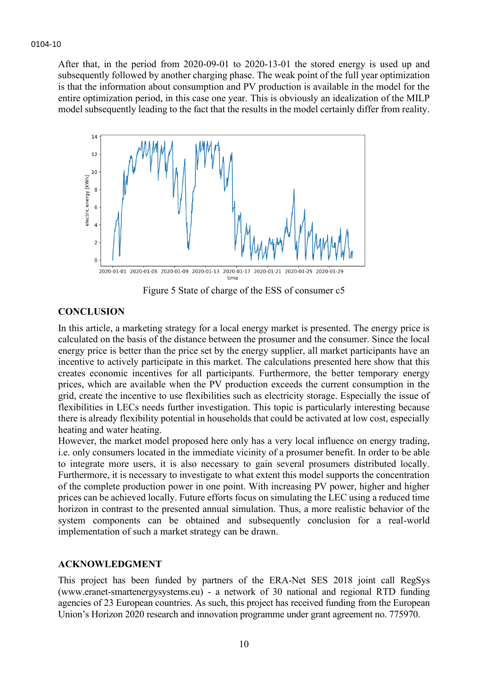After that, in the period from 2020-09-01 to 2020-13-01 the stored energy is used up and subsequently followed by another charging phase. The weak point of the full year optimization is that the information about consumption and PV production is available in the model for the entire optimization period, in this case one year. This is obviously an idealization of the MILP model subsequently leading to the fact that the results in the model certainly differ from reality.



Figure 5 State of charge of the ESS of consumer c5

#### **CONCLUSION**

In this article, a marketing strategy for a local energy market is presented. The energy price is calculated on the basis of the distance between the prosumer and the consumer. Since the local energy price is better than the price set by the energy supplier, all market participants have an incentive to actively participate in this market. The calculations presented here show that this creates economic incentives for all participants. Furthermore, the better temporary energy prices, which are available when the PV production exceeds the current consumption in the grid, create the incentive to use flexibilities such as electricity storage. Especially the issue of flexibilities in LECs needs further investigation. This topic is particularly interesting because there is already flexibility potential in households that could be activated at low cost, especially heating and water heating.

However, the market model proposed here only has a very local influence on energy trading, i.e. only consumers located in the immediate vicinity of a prosumer benefit. In order to be able to integrate more users, it is also necessary to gain several prosumers distributed locally. Furthermore, it is necessary to investigate to what extent this model supports the concentration of the complete production power in one point. With increasing PV power, higher and higher prices can be achieved locally. Future efforts focus on simulating the LEC using a reduced time horizon in contrast to the presented annual simulation. Thus, a more realistic behavior of the system components can be obtained and subsequently conclusion for a real-world implementation of such a market strategy can be drawn.

#### **ACKNOWLEDGMENT**

This project has been funded by partners of the ERA-Net SES 2018 joint call RegSys (www.eranet-smartenergysystems.eu) - a network of 30 national and regional RTD funding agencies of 23 European countries. As such, this project has received funding from the European Union's Horizon 2020 research and innovation programme under grant agreement no. 775970.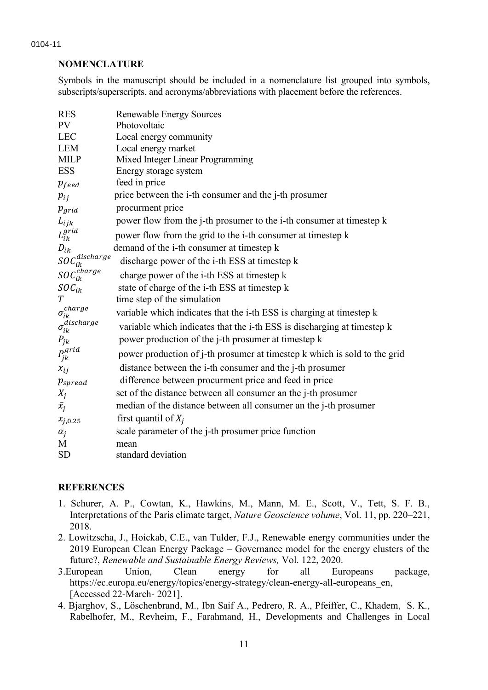#### **NOMENCLATURE**

Symbols in the manuscript should be included in a nomenclature list grouped into symbols, subscripts/superscripts, and acronyms/abbreviations with placement before the references.

| <b>RES</b>                      | <b>Renewable Energy Sources</b>                                           |
|---------------------------------|---------------------------------------------------------------------------|
| PV                              | Photovoltaic                                                              |
| <b>LEC</b>                      | Local energy community                                                    |
| <b>LEM</b>                      | Local energy market                                                       |
| <b>MILP</b>                     | Mixed Integer Linear Programming                                          |
| <b>ESS</b>                      | Energy storage system                                                     |
| $p_{feed}$                      | feed in price                                                             |
| $p_{ij}$                        | price between the i-th consumer and the j-th prosumer                     |
| $p_{grid}$                      | procurment price                                                          |
| $L_{ijk}$                       | power flow from the j-th prosumer to the i-th consumer at timestep k      |
| $L_{ik}^{grid}$                 | power flow from the grid to the i-th consumer at timestep k               |
| $D_{ik}$                        | demand of the i-th consumer at timestep k                                 |
| $\mathit{SOC}^{discharge}_{ik}$ | discharge power of the i-th ESS at timestep k                             |
| $\mathit{SOC}^{charge}_{ik}$    | charge power of the i-th ESS at timestep k                                |
| $SOC_{ik}$                      | state of charge of the i-th ESS at timestep k                             |
| T                               | time step of the simulation                                               |
| $\sigma^{charge}_{ik}$          | variable which indicates that the i-th ESS is charging at timestep k      |
| $\sigma_{ik}^{discharge}$       | variable which indicates that the i-th ESS is discharging at timestep k   |
| $P_{jk}$                        | power production of the j-th prosumer at timestep k                       |
| $P_{jk}^{grid}$                 | power production of j-th prosumer at timestep k which is sold to the grid |
| $x_{ij}$                        | distance between the i-th consumer and the j-th prosumer                  |
| $p_{spread}$                    | difference between procurment price and feed in price                     |
| $X_j$                           | set of the distance between all consumer an the j-th prosumer             |
| $\bar{x}_j$                     | median of the distance between all consumer an the j-th prosumer          |
| $x_{j,0.25}$                    | first quantil of $X_i$                                                    |
| $\alpha_i$                      | scale parameter of the j-th prosumer price function                       |
| M                               | mean                                                                      |
| <b>SD</b>                       | standard deviation                                                        |

## **REFERENCES**

- 1. Schurer, A. P., Cowtan, K., Hawkins, M., Mann, M. E., Scott, V., Tett, S. F. B., Interpretations of the Paris climate target, *Nature Geoscience volume*, Vol. 11, pp. 220–221, 2018.
- 2. Lowitzscha, J., Hoickab, C.E., van Tulder, F.J., Renewable energy communities under the 2019 European Clean Energy Package – Governance model for the energy clusters of the future?, *Renewable and Sustainable Energy Reviews,* Vol. 122, 2020.
- 3.European Union, Clean energy for all Europeans package, https://ec.europa.eu/energy/topics/energy-strategy/clean-energy-all-europeans\_en, [Accessed 22-March- 2021].
- 4. Bjarghov, S., Löschenbrand, M., Ibn Saif A., Pedrero, R. A., Pfeiffer, C., Khadem, S. K., Rabelhofer, M., Revheim, F., Farahmand, H., Developments and Challenges in Local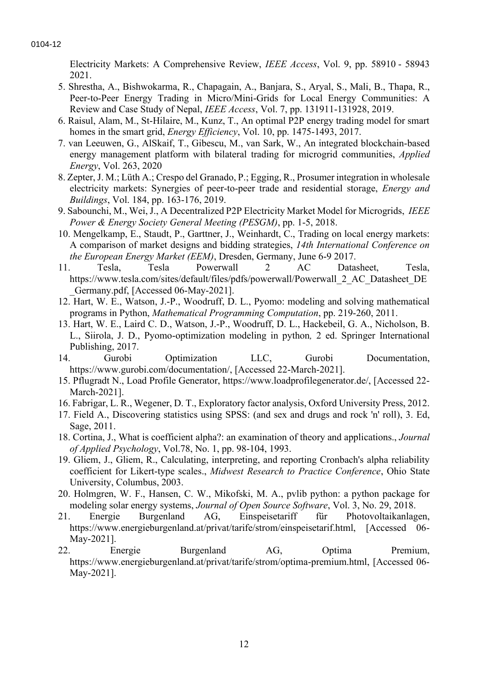Electricity Markets: A Comprehensive Review, *IEEE Access*, Vol. 9, pp. 58910 - 58943 2021.

- 5. Shrestha, A., Bishwokarma, R., Chapagain, A., Banjara, S., Aryal, S., Mali, B., Thapa, R., Peer-to-Peer Energy Trading in Micro/Mini-Grids for Local Energy Communities: A Review and Case Study of Nepal, *IEEE Access*, Vol. 7, pp. 131911-131928, 2019.
- 6. Raisul, Alam, M., St-Hilaire, M., Kunz, T., An optimal P2P energy trading model for smart homes in the smart grid, *Energy Efficiency*, Vol. 10, pp. 1475-1493, 2017.
- 7. van Leeuwen, G., AlSkaif, T., Gibescu, M., van Sark, W., An integrated blockchain-based energy management platform with bilateral trading for microgrid communities, *Applied Energy*, Vol. 263, 2020
- 8. Zepter, J. M.; Lüth A.; Crespo del Granado, P.; Egging, R., Prosumer integration in wholesale electricity markets: Synergies of peer-to-peer trade and residential storage, *Energy and Buildings*, Vol. 184, pp. 163-176, 2019.
- 9. Sabounchi, M., Wei, J., A Decentralized P2P Electricity Market Model for Microgrids, *IEEE Power & Energy Society General Meeting (PESGM)*, pp. 1-5, 2018.
- 10. Mengelkamp, E., Staudt, P., Garttner, J., Weinhardt, C., Trading on local energy markets: A comparison of market designs and bidding strategies, *14th International Conference on the European Energy Market (EEM)*, Dresden, Germany, June 6-9 2017.
- 11. Tesla, Tesla Powerwall 2 AC Datasheet, Tesla, https://www.tesla.com/sites/default/files/pdfs/powerwall/Powerwall\_2\_AC\_Datasheet\_DE \_Germany.pdf, [Accessed 06-May-2021].
- 12. Hart, W. E., Watson, J.-P., Woodruff, D. L., Pyomo: modeling and solving mathematical programs in Python, *Mathematical Programming Computation*, pp. 219-260, 2011.
- 13. Hart, W. E., Laird C. D., Watson, J.-P., Woodruff, D. L., Hackebeil, G. A., Nicholson, B. L., Siirola, J. D., Pyomo-optimization modeling in python*,* 2 ed. Springer International Publishing, 2017.
- 14. Gurobi Optimization LLC, Gurobi Documentation, https://www.gurobi.com/documentation/, [Accessed 22-March-2021].
- 15. Pflugradt N., Load Profile Generator, https://www.loadprofilegenerator.de/, [Accessed 22- March-2021].
- 16. Fabrigar, L. R., Wegener, D. T., Exploratory factor analysis, Oxford University Press, 2012.
- 17. Field A., Discovering statistics using SPSS: (and sex and drugs and rock 'n' roll), 3. Ed, Sage, 2011.
- 18. Cortina, J., What is coefficient alpha?: an examination of theory and applications., *Journal of Applied Psychology*, Vol.78, No. 1, pp. 98-104, 1993.
- 19. Gliem, J., Gliem, R., Calculating, interpreting, and reporting Cronbach's alpha reliability coefficient for Likert-type scales., *Midwest Research to Practice Conference*, Ohio State University, Columbus, 2003.
- 20. Holmgren, W. F., Hansen, C. W., Mikofski, M. A., pvlib python: a python package for modeling solar energy systems, *Journal of Open Source Software*, Vol. 3, No. 29, 2018.
- 21. Energie Burgenland AG, Einspeisetariff für Photovoltaikanlagen, https://www.energieburgenland.at/privat/tarife/strom/einspeisetarif.html, [Accessed 06- May-2021].
- 22. Energie Burgenland AG, Optima Premium, https://www.energieburgenland.at/privat/tarife/strom/optima-premium.html, [Accessed 06- May-2021].